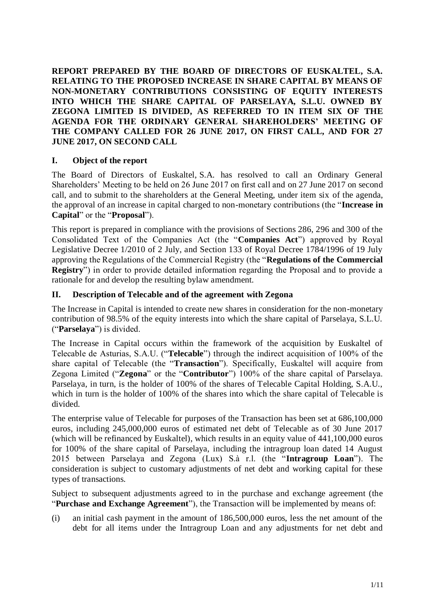**REPORT PREPARED BY THE BOARD OF DIRECTORS OF EUSKALTEL, S.A. RELATING TO THE PROPOSED INCREASE IN SHARE CAPITAL BY MEANS OF NON-MONETARY CONTRIBUTIONS CONSISTING OF EQUITY INTERESTS INTO WHICH THE SHARE CAPITAL OF PARSELAYA, S.L.U. OWNED BY ZEGONA LIMITED IS DIVIDED, AS REFERRED TO IN ITEM SIX OF THE AGENDA FOR THE ORDINARY GENERAL SHAREHOLDERS' MEETING OF THE COMPANY CALLED FOR 26 JUNE 2017, ON FIRST CALL, AND FOR 27 JUNE 2017, ON SECOND CALL**

### **I. Object of the report**

The Board of Directors of Euskaltel, S.A. has resolved to call an Ordinary General Shareholders' Meeting to be held on 26 June 2017 on first call and on 27 June 2017 on second call, and to submit to the shareholders at the General Meeting, under item six of the agenda, the approval of an increase in capital charged to non-monetary contributions (the "**Increase in Capital**" or the "**Proposal**").

This report is prepared in compliance with the provisions of Sections 286, 296 and 300 of the Consolidated Text of the Companies Act (the "**Companies Act**") approved by Royal Legislative Decree 1/2010 of 2 July, and Section 133 of Royal Decree 1784/1996 of 19 July approving the Regulations of the Commercial Registry (the "**Regulations of the Commercial Registry**") in order to provide detailed information regarding the Proposal and to provide a rationale for and develop the resulting bylaw amendment.

### **II. Description of Telecable and of the agreement with Zegona**

The Increase in Capital is intended to create new shares in consideration for the non-monetary contribution of 98.5% of the equity interests into which the share capital of Parselaya, S.L.U. ("**Parselaya**") is divided.

The Increase in Capital occurs within the framework of the acquisition by Euskaltel of Telecable de Asturias, S.A.U. ("**Telecable**") through the indirect acquisition of 100% of the share capital of Telecable (the "**Transaction**"). Specifically, Euskaltel will acquire from Zegona Limited ("**Zegona**" or the "**Contributor**") 100% of the share capital of Parselaya. Parselaya, in turn, is the holder of 100% of the shares of Telecable Capital Holding, S.A.U., which in turn is the holder of 100% of the shares into which the share capital of Telecable is divided.

The enterprise value of Telecable for purposes of the Transaction has been set at 686,100,000 euros, including 245,000,000 euros of estimated net debt of Telecable as of 30 June 2017 (which will be refinanced by Euskaltel), which results in an equity value of 441,100,000 euros for 100% of the share capital of Parselaya, including the intragroup loan dated 14 August 2015 between Parselaya and Zegona (Lux) S.à r.l. (the "**Intragroup Loan**"). The consideration is subject to customary adjustments of net debt and working capital for these types of transactions.

Subject to subsequent adjustments agreed to in the purchase and exchange agreement (the "**Purchase and Exchange Agreement**"), the Transaction will be implemented by means of:

(i) an initial cash payment in the amount of 186,500,000 euros, less the net amount of the debt for all items under the Intragroup Loan and any adjustments for net debt and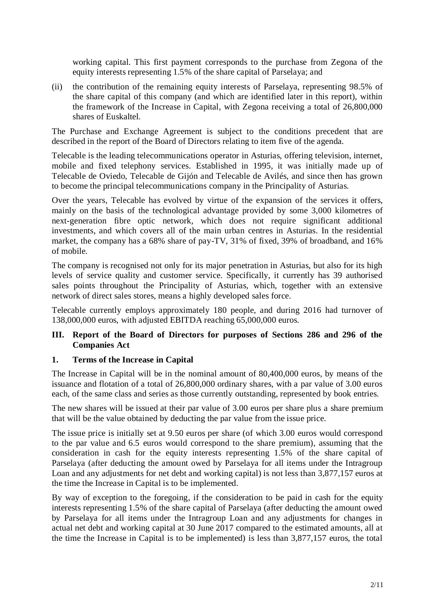working capital. This first payment corresponds to the purchase from Zegona of the equity interests representing 1.5% of the share capital of Parselaya; and

(ii) the contribution of the remaining equity interests of Parselaya, representing 98.5% of the share capital of this company (and which are identified later in this report), within the framework of the Increase in Capital, with Zegona receiving a total of 26,800,000 shares of Euskaltel.

The Purchase and Exchange Agreement is subject to the conditions precedent that are described in the report of the Board of Directors relating to item five of the agenda.

Telecable is the leading telecommunications operator in Asturias, offering television, internet, mobile and fixed telephony services. Established in 1995, it was initially made up of Telecable de Oviedo, Telecable de Gijón and Telecable de Avilés, and since then has grown to become the principal telecommunications company in the Principality of Asturias.

Over the years, Telecable has evolved by virtue of the expansion of the services it offers, mainly on the basis of the technological advantage provided by some 3,000 kilometres of next-generation fibre optic network, which does not require significant additional investments, and which covers all of the main urban centres in Asturias. In the residential market, the company has a 68% share of pay-TV, 31% of fixed, 39% of broadband, and 16% of mobile.

The company is recognised not only for its major penetration in Asturias, but also for its high levels of service quality and customer service. Specifically, it currently has 39 authorised sales points throughout the Principality of Asturias, which, together with an extensive network of direct sales stores, means a highly developed sales force.

Telecable currently employs approximately 180 people, and during 2016 had turnover of 138,000,000 euros, with adjusted EBITDA reaching 65,000,000 euros.

#### **III. Report of the Board of Directors for purposes of Sections 286 and 296 of the Companies Act**

#### **1. Terms of the Increase in Capital**

The Increase in Capital will be in the nominal amount of 80,400,000 euros, by means of the issuance and flotation of a total of 26,800,000 ordinary shares, with a par value of 3.00 euros each, of the same class and series as those currently outstanding, represented by book entries.

The new shares will be issued at their par value of 3.00 euros per share plus a share premium that will be the value obtained by deducting the par value from the issue price.

The issue price is initially set at 9.50 euros per share (of which 3.00 euros would correspond to the par value and 6.5 euros would correspond to the share premium), assuming that the consideration in cash for the equity interests representing 1.5% of the share capital of Parselaya (after deducting the amount owed by Parselaya for all items under the Intragroup Loan and any adjustments for net debt and working capital) is not less than 3,877,157 euros at the time the Increase in Capital is to be implemented.

By way of exception to the foregoing, if the consideration to be paid in cash for the equity interests representing 1.5% of the share capital of Parselaya (after deducting the amount owed by Parselaya for all items under the Intragroup Loan and any adjustments for changes in actual net debt and working capital at 30 June 2017 compared to the estimated amounts, all at the time the Increase in Capital is to be implemented) is less than 3,877,157 euros, the total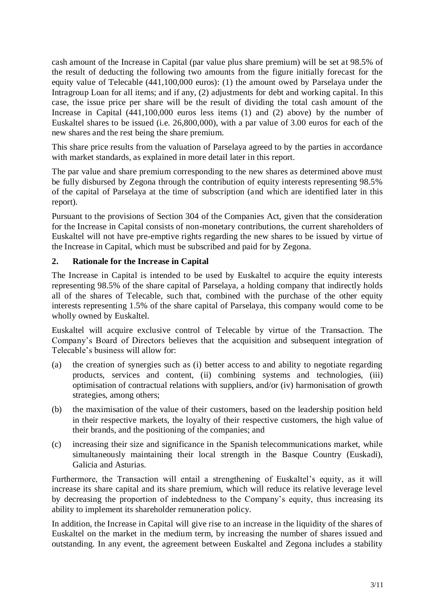cash amount of the Increase in Capital (par value plus share premium) will be set at 98.5% of the result of deducting the following two amounts from the figure initially forecast for the equity value of Telecable (441,100,000 euros): (1) the amount owed by Parselaya under the Intragroup Loan for all items; and if any, (2) adjustments for debt and working capital. In this case, the issue price per share will be the result of dividing the total cash amount of the Increase in Capital (441,100,000 euros less items (1) and (2) above) by the number of Euskaltel shares to be issued (i.e. 26,800,000), with a par value of 3.00 euros for each of the new shares and the rest being the share premium.

This share price results from the valuation of Parselaya agreed to by the parties in accordance with market standards, as explained in more detail later in this report.

The par value and share premium corresponding to the new shares as determined above must be fully disbursed by Zegona through the contribution of equity interests representing 98.5% of the capital of Parselaya at the time of subscription (and which are identified later in this report).

Pursuant to the provisions of Section 304 of the Companies Act, given that the consideration for the Increase in Capital consists of non-monetary contributions, the current shareholders of Euskaltel will not have pre-emptive rights regarding the new shares to be issued by virtue of the Increase in Capital, which must be subscribed and paid for by Zegona.

### **2. Rationale for the Increase in Capital**

The Increase in Capital is intended to be used by Euskaltel to acquire the equity interests representing 98.5% of the share capital of Parselaya, a holding company that indirectly holds all of the shares of Telecable, such that, combined with the purchase of the other equity interests representing 1.5% of the share capital of Parselaya, this company would come to be wholly owned by Euskaltel.

Euskaltel will acquire exclusive control of Telecable by virtue of the Transaction. The Company's Board of Directors believes that the acquisition and subsequent integration of Telecable's business will allow for:

- (a) the creation of synergies such as (i) better access to and ability to negotiate regarding products, services and content, (ii) combining systems and technologies, (iii) optimisation of contractual relations with suppliers, and/or (iv) harmonisation of growth strategies, among others;
- (b) the maximisation of the value of their customers, based on the leadership position held in their respective markets, the loyalty of their respective customers, the high value of their brands, and the positioning of the companies; and
- (c) increasing their size and significance in the Spanish telecommunications market, while simultaneously maintaining their local strength in the Basque Country (Euskadi), Galicia and Asturias.

Furthermore, the Transaction will entail a strengthening of Euskaltel's equity, as it will increase its share capital and its share premium, which will reduce its relative leverage level by decreasing the proportion of indebtedness to the Company's equity, thus increasing its ability to implement its shareholder remuneration policy.

In addition, the Increase in Capital will give rise to an increase in the liquidity of the shares of Euskaltel on the market in the medium term, by increasing the number of shares issued and outstanding. In any event, the agreement between Euskaltel and Zegona includes a stability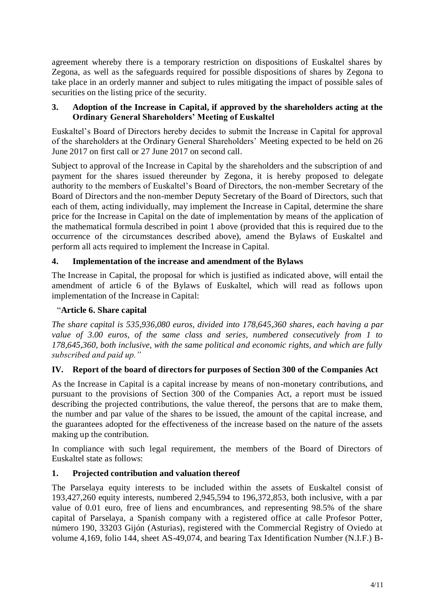agreement whereby there is a temporary restriction on dispositions of Euskaltel shares by Zegona, as well as the safeguards required for possible dispositions of shares by Zegona to take place in an orderly manner and subject to rules mitigating the impact of possible sales of securities on the listing price of the security.

### **3. Adoption of the Increase in Capital, if approved by the shareholders acting at the Ordinary General Shareholders' Meeting of Euskaltel**

Euskaltel's Board of Directors hereby decides to submit the Increase in Capital for approval of the shareholders at the Ordinary General Shareholders' Meeting expected to be held on 26 June 2017 on first call or 27 June 2017 on second call.

Subject to approval of the Increase in Capital by the shareholders and the subscription of and payment for the shares issued thereunder by Zegona, it is hereby proposed to delegate authority to the members of Euskaltel's Board of Directors, the non-member Secretary of the Board of Directors and the non-member Deputy Secretary of the Board of Directors, such that each of them, acting individually, may implement the Increase in Capital, determine the share price for the Increase in Capital on the date of implementation by means of the application of the mathematical formula described in point 1 above (provided that this is required due to the occurrence of the circumstances described above), amend the Bylaws of Euskaltel and perform all acts required to implement the Increase in Capital.

# **4. Implementation of the increase and amendment of the Bylaws**

The Increase in Capital, the proposal for which is justified as indicated above, will entail the amendment of article 6 of the Bylaws of Euskaltel, which will read as follows upon implementation of the Increase in Capital:

### "**Article 6. Share capital**

*The share capital is 535,936,080 euros, divided into 178,645,360 shares, each having a par value of 3.00 euros, of the same class and series, numbered consecutively from 1 to 178,645,360, both inclusive, with the same political and economic rights, and which are fully subscribed and paid up."*

### **IV. Report of the board of directors for purposes of Section 300 of the Companies Act**

As the Increase in Capital is a capital increase by means of non-monetary contributions, and pursuant to the provisions of Section 300 of the Companies Act, a report must be issued describing the projected contributions, the value thereof, the persons that are to make them, the number and par value of the shares to be issued, the amount of the capital increase, and the guarantees adopted for the effectiveness of the increase based on the nature of the assets making up the contribution.

In compliance with such legal requirement, the members of the Board of Directors of Euskaltel state as follows:

### **1. Projected contribution and valuation thereof**

The Parselaya equity interests to be included within the assets of Euskaltel consist of 193,427,260 equity interests, numbered 2,945,594 to 196,372,853, both inclusive, with a par value of 0.01 euro, free of liens and encumbrances, and representing 98.5% of the share capital of Parselaya, a Spanish company with a registered office at calle Profesor Potter, número 190, 33203 Gijón (Asturias), registered with the Commercial Registry of Oviedo at volume 4,169, folio 144, sheet AS-49,074, and bearing Tax Identification Number (N.I.F.) B-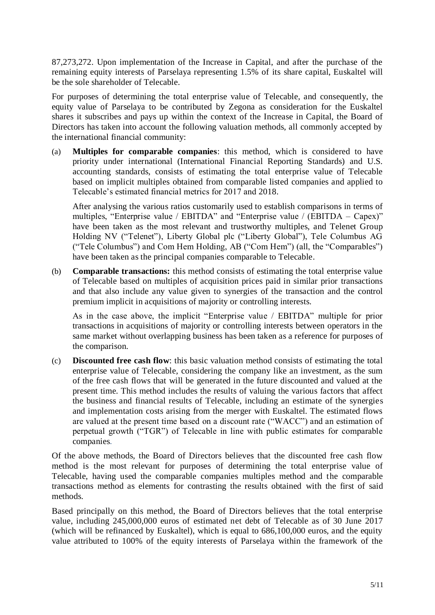87,273,272. Upon implementation of the Increase in Capital, and after the purchase of the remaining equity interests of Parselaya representing 1.5% of its share capital, Euskaltel will be the sole shareholder of Telecable.

For purposes of determining the total enterprise value of Telecable, and consequently, the equity value of Parselaya to be contributed by Zegona as consideration for the Euskaltel shares it subscribes and pays up within the context of the Increase in Capital, the Board of Directors has taken into account the following valuation methods, all commonly accepted by the international financial community:

(a) **Multiples for comparable companies**: this method, which is considered to have priority under international (International Financial Reporting Standards) and U.S. accounting standards, consists of estimating the total enterprise value of Telecable based on implicit multiples obtained from comparable listed companies and applied to Telecable's estimated financial metrics for 2017 and 2018.

After analysing the various ratios customarily used to establish comparisons in terms of multiples, "Enterprise value / EBITDA" and "Enterprise value / (EBITDA – Capex)" have been taken as the most relevant and trustworthy multiples, and Telenet Group Holding NV ("Telenet"), Liberty Global plc ("Liberty Global"), Tele Columbus AG ("Tele Columbus") and Com Hem Holding, AB ("Com Hem") (all, the "Comparables") have been taken as the principal companies comparable to Telecable.

(b) **Comparable transactions:** this method consists of estimating the total enterprise value of Telecable based on multiples of acquisition prices paid in similar prior transactions and that also include any value given to synergies of the transaction and the control premium implicit in acquisitions of majority or controlling interests.

As in the case above, the implicit "Enterprise value / EBITDA" multiple for prior transactions in acquisitions of majority or controlling interests between operators in the same market without overlapping business has been taken as a reference for purposes of the comparison.

(c) **Discounted free cash flow**: this basic valuation method consists of estimating the total enterprise value of Telecable, considering the company like an investment, as the sum of the free cash flows that will be generated in the future discounted and valued at the present time. This method includes the results of valuing the various factors that affect the business and financial results of Telecable, including an estimate of the synergies and implementation costs arising from the merger with Euskaltel. The estimated flows are valued at the present time based on a discount rate ("WACC") and an estimation of perpetual growth ("TGR") of Telecable in line with public estimates for comparable companies.

Of the above methods, the Board of Directors believes that the discounted free cash flow method is the most relevant for purposes of determining the total enterprise value of Telecable, having used the comparable companies multiples method and the comparable transactions method as elements for contrasting the results obtained with the first of said methods.

Based principally on this method, the Board of Directors believes that the total enterprise value, including 245,000,000 euros of estimated net debt of Telecable as of 30 June 2017 (which will be refinanced by Euskaltel), which is equal to 686,100,000 euros, and the equity value attributed to 100% of the equity interests of Parselaya within the framework of the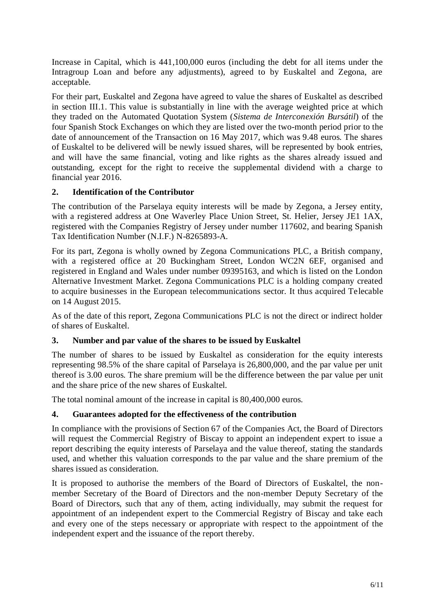Increase in Capital, which is 441,100,000 euros (including the debt for all items under the Intragroup Loan and before any adjustments), agreed to by Euskaltel and Zegona, are acceptable.

For their part, Euskaltel and Zegona have agreed to value the shares of Euskaltel as described in section III.1. This value is substantially in line with the average weighted price at which they traded on the Automated Quotation System (*Sistema de Interconexión Bursátil*) of the four Spanish Stock Exchanges on which they are listed over the two-month period prior to the date of announcement of the Transaction on 16 May 2017, which was 9.48 euros. The shares of Euskaltel to be delivered will be newly issued shares, will be represented by book entries, and will have the same financial, voting and like rights as the shares already issued and outstanding, except for the right to receive the supplemental dividend with a charge to financial year 2016.

## **2. Identification of the Contributor**

The contribution of the Parselaya equity interests will be made by Zegona, a Jersey entity, with a registered address at One Waverley Place Union Street, St. Helier, Jersey JE1 1AX, registered with the Companies Registry of Jersey under number 117602, and bearing Spanish Tax Identification Number (N.I.F.) N-8265893-A.

For its part, Zegona is wholly owned by Zegona Communications PLC, a British company, with a registered office at 20 Buckingham Street, London WC2N 6EF, organised and registered in England and Wales under number 09395163, and which is listed on the London Alternative Investment Market. Zegona Communications PLC is a holding company created to acquire businesses in the European telecommunications sector. It thus acquired Telecable on 14 August 2015.

As of the date of this report, Zegona Communications PLC is not the direct or indirect holder of shares of Euskaltel.

# **3. Number and par value of the shares to be issued by Euskaltel**

The number of shares to be issued by Euskaltel as consideration for the equity interests representing 98.5% of the share capital of Parselaya is 26,800,000, and the par value per unit thereof is 3.00 euros. The share premium will be the difference between the par value per unit and the share price of the new shares of Euskaltel.

The total nominal amount of the increase in capital is 80,400,000 euros.

### **4. Guarantees adopted for the effectiveness of the contribution**

In compliance with the provisions of Section 67 of the Companies Act, the Board of Directors will request the Commercial Registry of Biscay to appoint an independent expert to issue a report describing the equity interests of Parselaya and the value thereof, stating the standards used, and whether this valuation corresponds to the par value and the share premium of the shares issued as consideration.

It is proposed to authorise the members of the Board of Directors of Euskaltel, the nonmember Secretary of the Board of Directors and the non-member Deputy Secretary of the Board of Directors, such that any of them, acting individually, may submit the request for appointment of an independent expert to the Commercial Registry of Biscay and take each and every one of the steps necessary or appropriate with respect to the appointment of the independent expert and the issuance of the report thereby.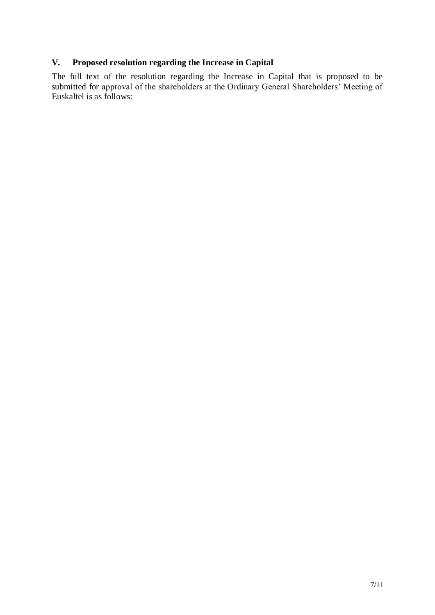# **V. Proposed resolution regarding the Increase in Capital**

The full text of the resolution regarding the Increase in Capital that is proposed to be submitted for approval of the shareholders at the Ordinary General Shareholders' Meeting of Euskaltel is as follows: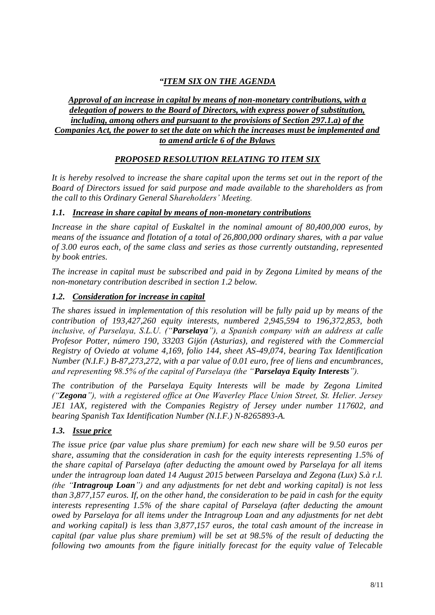# *"ITEM SIX ON THE AGENDA*

#### *Approval of an increase in capital by means of non-monetary contributions, with a delegation of powers to the Board of Directors, with express power of substitution, including, among others and pursuant to the provisions of Section 297.1.a) of the Companies Act, the power to set the date on which the increases must be implemented and to amend article 6 of the Bylaws*

# *PROPOSED RESOLUTION RELATING TO ITEM SIX*

*It is hereby resolved to increase the share capital upon the terms set out in the report of the Board of Directors issued for said purpose and made available to the shareholders as from the call to this Ordinary General Shareholders' Meeting.*

## *1.1. Increase in share capital by means of non-monetary contributions*

*Increase in the share capital of Euskaltel in the nominal amount of 80,400,000 euros, by means of the issuance and flotation of a total of 26,800,000 ordinary shares, with a par value of 3.00 euros each, of the same class and series as those currently outstanding, represented by book entries.*

*The increase in capital must be subscribed and paid in by Zegona Limited by means of the non-monetary contribution described in section [1.2](#page-7-0) below.*

## <span id="page-7-0"></span>*1.2. Consideration for increase in capital*

*The shares issued in implementation of this resolution will be fully paid up by means of the contribution of 193,427,260 equity interests, numbered 2,945,594 to 196,372,853, both inclusive, of Parselaya, S.L.U. ("Parselaya"), a Spanish company with an address at calle Profesor Potter, número 190, 33203 Gijón (Asturias), and registered with the Commercial Registry of Oviedo at volume 4,169, folio 144, sheet AS-49,074, bearing Tax Identification Number (N.I.F.) B-87,273,272, with a par value of 0.01 euro, free of liens and encumbrances, and representing 98.5% of the capital of Parselaya (the "Parselaya Equity Interests").*

*The contribution of the Parselaya Equity Interests will be made by Zegona Limited ("Zegona"), with a registered office at One Waverley Place Union Street, St. Helier. Jersey JE1 1AX, registered with the Companies Registry of Jersey under number 117602, and bearing Spanish Tax Identification Number (N.I.F.) N-8265893-A.* 

# <span id="page-7-1"></span>*1.3. Issue price*

*The issue price (par value plus share premium) for each new share will be 9.50 euros per share, assuming that the consideration in cash for the equity interests representing 1.5% of the share capital of Parselaya (after deducting the amount owed by Parselaya for all items under the intragroup loan dated 14 August 2015 between Parselaya and Zegona (Lux) S.à r.l. (the "Intragroup Loan") and any adjustments for net debt and working capital) is not less than 3,877,157 euros. If, on the other hand, the consideration to be paid in cash for the equity interests representing 1.5% of the share capital of Parselaya (after deducting the amount owed by Parselaya for all items under the Intragroup Loan and any adjustments for net debt and working capital) is less than 3,877,157 euros, the total cash amount of the increase in capital (par value plus share premium) will be set at 98.5% of the result of deducting the following two amounts from the figure initially forecast for the equity value of Telecable*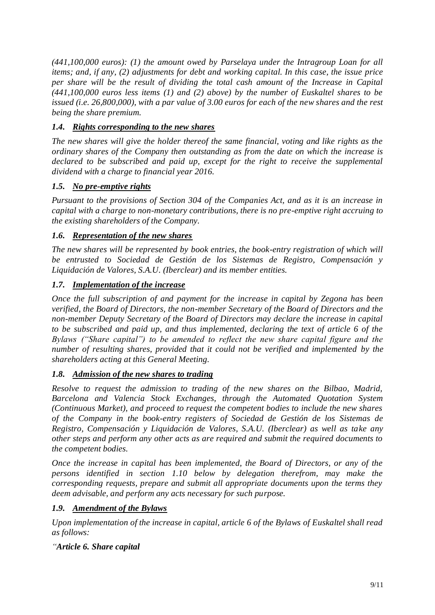*(441,100,000 euros): (1) the amount owed by Parselaya under the Intragroup Loan for all items; and, if any, (2) adjustments for debt and working capital. In this case, the issue price per share will be the result of dividing the total cash amount of the Increase in Capital (441,100,000 euros less items (1) and (2) above) by the number of Euskaltel shares to be issued (i.e. 26,800,000), with a par value of 3.00 euros for each of the new shares and the rest being the share premium.*

# *1.4. Rights corresponding to the new shares*

*The new shares will give the holder thereof the same financial, voting and like rights as the ordinary shares of the Company then outstanding as from the date on which the increase is declared to be subscribed and paid up, except for the right to receive the supplemental dividend with a charge to financial year 2016.*

### *1.5. No pre-emptive rights*

*Pursuant to the provisions of Section 304 of the Companies Act, and as it is an increase in capital with a charge to non-monetary contributions, there is no pre-emptive right accruing to the existing shareholders of the Company.* 

## *1.6. Representation of the new shares*

*The new shares will be represented by book entries, the book-entry registration of which will be entrusted to Sociedad de Gestión de los Sistemas de Registro, Compensación y Liquidación de Valores, S.A.U. (Iberclear) and its member entities.*

## *1.7. Implementation of the increase*

*Once the full subscription of and payment for the increase in capital by Zegona has been verified, the Board of Directors, the non-member Secretary of the Board of Directors and the non-member Deputy Secretary of the Board of Directors may declare the increase in capital to be subscribed and paid up, and thus implemented, declaring the text of article 6 of the Bylaws ("Share capital") to be amended to reflect the new share capital figure and the number of resulting shares, provided that it could not be verified and implemented by the shareholders acting at this General Meeting.*

### *1.8. Admission of the new shares to trading*

*Resolve to request the admission to trading of the new shares on the Bilbao, Madrid, Barcelona and Valencia Stock Exchanges, through the Automated Quotation System (Continuous Market), and proceed to request the competent bodies to include the new shares of the Company in the book-entry registers of Sociedad de Gestión de los Sistemas de Registro, Compensación y Liquidación de Valores, S.A.U. (Iberclear) as well as take any other steps and perform any other acts as are required and submit the required documents to the competent bodies.*

*Once the increase in capital has been implemented, the Board of Directors, or any of the persons identified in section [1.10](#page-9-0) below by delegation therefrom, may make the corresponding requests, prepare and submit all appropriate documents upon the terms they deem advisable, and perform any acts necessary for such purpose.*

### *1.9. Amendment of the Bylaws*

*Upon implementation of the increase in capital, article 6 of the Bylaws of Euskaltel shall read as follows:*

*"Article 6. Share capital*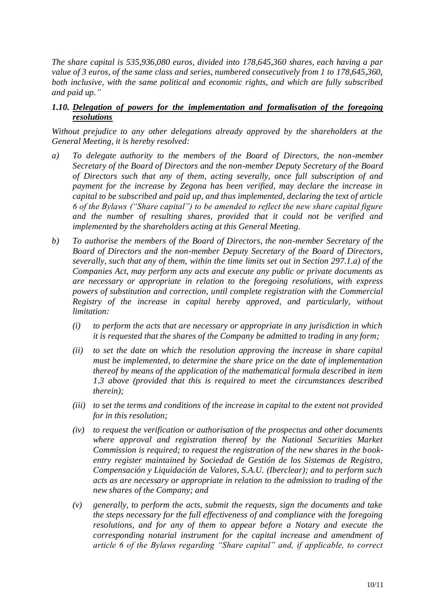*The share capital is 535,936,080 euros, divided into 178,645,360 shares, each having a par value of 3 euros, of the same class and series, numbered consecutively from 1 to 178,645,360, both inclusive, with the same political and economic rights, and which are fully subscribed and paid up."*

#### <span id="page-9-0"></span>*1.10. Delegation of powers for the implementation and formalisation of the foregoing resolutions*

*Without prejudice to any other delegations already approved by the shareholders at the General Meeting, it is hereby resolved:*

- *a) To delegate authority to the members of the Board of Directors, the non-member Secretary of the Board of Directors and the non-member Deputy Secretary of the Board of Directors such that any of them, acting severally, once full subscription of and payment for the increase by Zegona has been verified, may declare the increase in capital to be subscribed and paid up, and thus implemented, declaring the text of article 6 of the Bylaws ("Share capital") to be amended to reflect the new share capital figure and the number of resulting shares, provided that it could not be verified and implemented by the shareholders acting at this General Meeting.*
- *b) To authorise the members of the Board of Directors, the non-member Secretary of the Board of Directors and the non-member Deputy Secretary of the Board of Directors, severally, such that any of them, within the time limits set out in Section 297.1.a) of the Companies Act, may perform any acts and execute any public or private documents as are necessary or appropriate in relation to the foregoing resolutions, with express powers of substitution and correction, until complete registration with the Commercial Registry of the increase in capital hereby approved, and particularly, without limitation:*
	- *(i) to perform the acts that are necessary or appropriate in any jurisdiction in which it is requested that the shares of the Company be admitted to trading in any form;*
	- *(ii) to set the date on which the resolution approving the increase in share capital must be implemented, to determine the share price on the date of implementation thereof by means of the application of the mathematical formula described in item [1.3](#page-7-1) above (provided that this is required to meet the circumstances described therein);*
	- *(iii) to set the terms and conditions of the increase in capital to the extent not provided for in this resolution;*
	- *(iv) to request the verification or authorisation of the prospectus and other documents where approval and registration thereof by the National Securities Market Commission is required; to request the registration of the new shares in the bookentry register maintained by Sociedad de Gestión de los Sistemas de Registro, Compensación y Liquidación de Valores, S.A.U. (Iberclear); and to perform such acts as are necessary or appropriate in relation to the admission to trading of the new shares of the Company; and*
	- *(v) generally, to perform the acts, submit the requests, sign the documents and take the steps necessary for the full effectiveness of and compliance with the foregoing resolutions, and for any of them to appear before a Notary and execute the corresponding notarial instrument for the capital increase and amendment of article 6 of the Bylaws regarding "Share capital" and, if applicable, to correct*